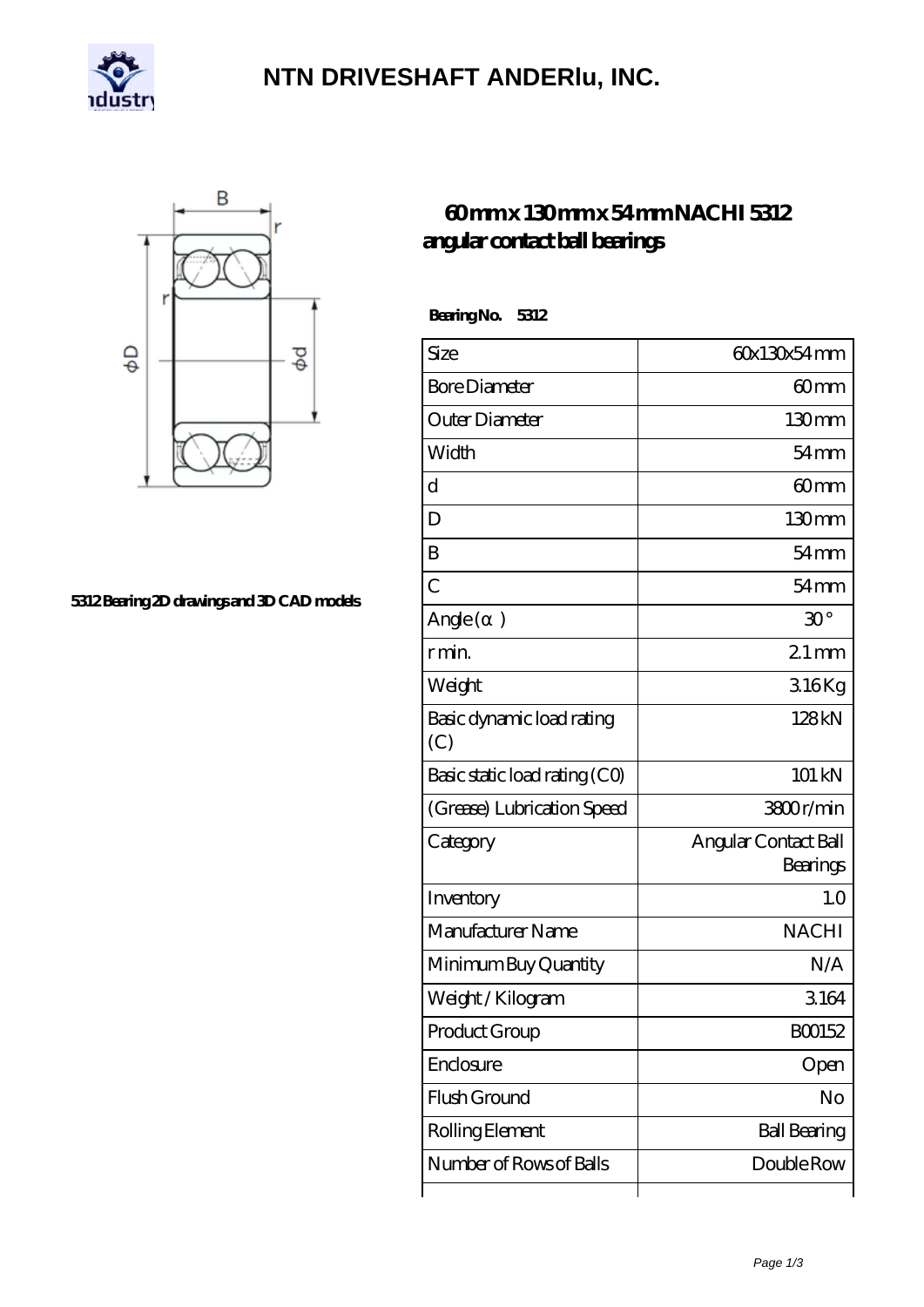

# **[NTN DRIVESHAFT ANDERlu, INC.](https://m.carib-link.com)**



### **[5312 Bearing 2D drawings and 3D CAD models](https://m.carib-link.com/pic-33181.html)**

## **[60 mm x 130 mm x 54 mm NACHI 5312](https://m.carib-link.com/am-33181-nachi-5312-angular-contact-ball-bearings.html) [angular contact ball bearings](https://m.carib-link.com/am-33181-nachi-5312-angular-contact-ball-bearings.html)**

 **Bearing No. 5312**

| Size                             | 60x130x54mm                      |
|----------------------------------|----------------------------------|
| <b>Bore Diameter</b>             | 60mm                             |
| Outer Diameter                   | 130mm                            |
| Width                            | $54 \text{mm}$                   |
| d                                | 60 <sub>mm</sub>                 |
| D                                | 130mm                            |
| B                                | $54$ mm                          |
| $\overline{C}$                   | $54 \text{mm}$                   |
| Angle (<br>$\left( \right)$      | $30^{\circ}$                     |
| r min.                           | $21$ mm                          |
| Weight                           | 316Kg                            |
| Basic dynamic load rating<br>(C) | 128kN                            |
| Basic static load rating (CO)    | 101 kN                           |
| (Grease) Lubrication Speed       | 3800r/min                        |
| Category                         | Angular Contact Ball<br>Bearings |
| Inventory                        | 1.0                              |
| Manufacturer Name                | <b>NACHI</b>                     |
| Minimum Buy Quantity             | N/A                              |
| Weight / Kilogram                | 3164                             |
| Product Group                    | BO0152                           |
| Enclosure                        | Open                             |
| Flush Ground                     | No                               |
| Rolling Element                  | <b>Ball Bearing</b>              |
| Number of Rows of Balls          | Double Row                       |
|                                  |                                  |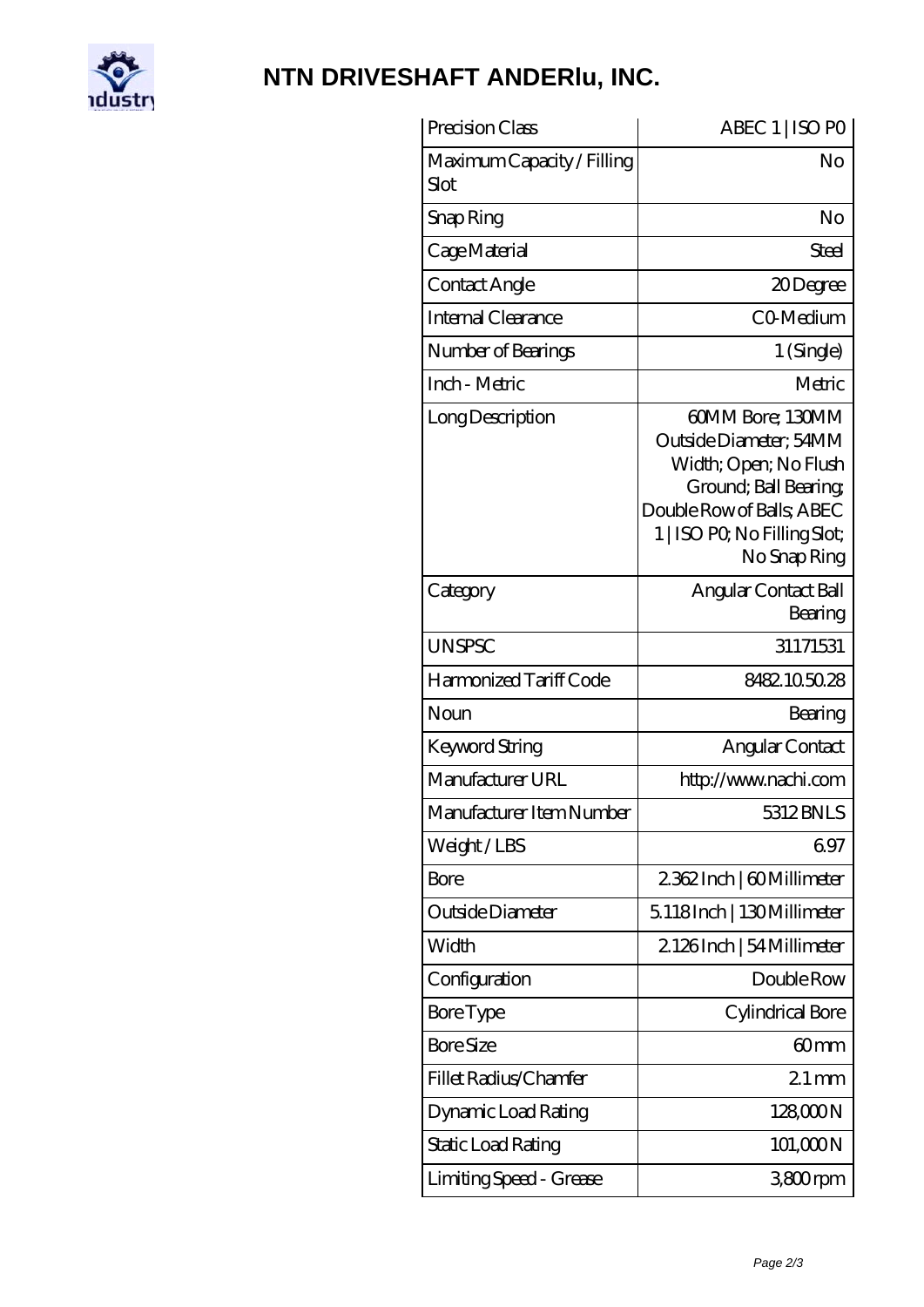

# **[NTN DRIVESHAFT ANDERlu, INC.](https://m.carib-link.com)**

| Precision Class                    | ABEC 1   ISO PO                                                                                                                                                           |
|------------------------------------|---------------------------------------------------------------------------------------------------------------------------------------------------------------------------|
| Maximum Capacity / Filling<br>Slot | No                                                                                                                                                                        |
| Snap Ring                          | No                                                                                                                                                                        |
| Cage Material                      | Steel                                                                                                                                                                     |
| Contact Angle                      | 20Degree                                                                                                                                                                  |
| <b>Internal Clearance</b>          | CO-Medium                                                                                                                                                                 |
| Number of Bearings                 | 1 (Single)                                                                                                                                                                |
| Inch - Metric                      | Metric                                                                                                                                                                    |
| Long Description                   | 60MM Bore; 130MM<br>Outside Diameter; 54MM<br>Width; Open; No Flush<br>Ground; Ball Bearing;<br>Double Row of Balls, ABEC<br>1   ISO PO, No Filling Slot;<br>No Snap Ring |
| Category                           | Angular Contact Ball<br>Bearing                                                                                                                                           |
| <b>UNSPSC</b>                      | 31171531                                                                                                                                                                  |
| Harmonized Tariff Code             | 8482.105028                                                                                                                                                               |
| Noun                               | Bearing                                                                                                                                                                   |
| <b>Keyword String</b>              | Angular Contact                                                                                                                                                           |
| Manufacturer URL                   | http://www.nachi.com                                                                                                                                                      |
| Manufacturer Item Number           | 5312 BNLS                                                                                                                                                                 |
| Weight/LBS                         | 697                                                                                                                                                                       |
| Bore                               | 2362Inch   60Millimeter                                                                                                                                                   |
| Outside Diameter                   | 5118Inch   130Millimeter                                                                                                                                                  |
| Width                              | 2126Inch   54 Millimeter                                                                                                                                                  |
| Configuration                      | Double Row                                                                                                                                                                |
| <b>Bore Type</b>                   | Cylindrical Bore                                                                                                                                                          |
| <b>Bore Size</b>                   | 60 <sub>mm</sub>                                                                                                                                                          |
| Fillet Radius/Chamfer              | $21$ mm                                                                                                                                                                   |
| Dynamic Load Rating                | 128000N                                                                                                                                                                   |
| Static Load Rating                 | 101,000N                                                                                                                                                                  |
| Limiting Speed - Grease            | 3800rpm                                                                                                                                                                   |